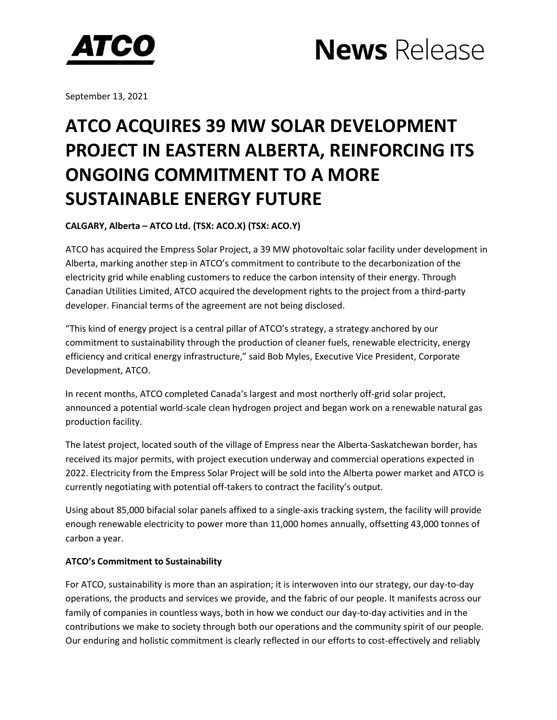



September 13, 2021

## **ATCO ACQUIRES 39 MW SOLAR DEVELOPMENT PROJECT IN EASTERN ALBERTA, REINFORCING ITS ONGOING COMMITMENT TO A MORE SUSTAINABLE ENERGY FUTURE**

**CALGARY, Alberta – ATCO Ltd. (TSX: ACO.X) (TSX: ACO.Y)** 

ATCO has acquired the Empress Solar Project, a 39 MW photovoltaic solar facility under development in Alberta, marking another step in ATCO's commitment to contribute to the decarbonization of the electricity grid while enabling customers to reduce the carbon intensity of their energy. Through Canadian Utilities Limited, ATCO acquired the development rights to the project from a third-party developer. Financial terms of the agreement are not being disclosed.

"This kind of energy project is a central pillar of ATCO's strategy, a strategy anchored by our commitment to sustainability through the production of cleaner fuels, renewable electricity, energy efficiency and critical energy infrastructure," said Bob Myles, Executive Vice President, Corporate Development, ATCO.

In recent months, ATCO completed Canada's largest and most northerly off-grid solar project, announced a potential world-scale clean hydrogen project and began work on a renewable natural gas production facility.

The latest project, located south of the village of Empress near the Alberta-Saskatchewan border, has received its major permits, with project execution underway and commercial operations expected in 2022. Electricity from the Empress Solar Project will be sold into the Alberta power market and ATCO is currently negotiating with potential off-takers to contract the facility's output.

Using about 85,000 bifacial solar panels affixed to a single-axis tracking system, the facility will provide enough renewable electricity to power more than 11,000 homes annually, offsetting 43,000 tonnes of carbon a year.

### **ATCO's Commitment to Sustainability**

For ATCO, sustainability is more than an aspiration; it is interwoven into our strategy, our day-to-day operations, the products and services we provide, and the fabric of our people. It manifests across our family of companies in countless ways, both in how we conduct our day-to-day activities and in the contributions we make to society through both our operations and the community spirit of our people. Our enduring and holistic commitment is clearly reflected in our efforts to cost-effectively and reliably